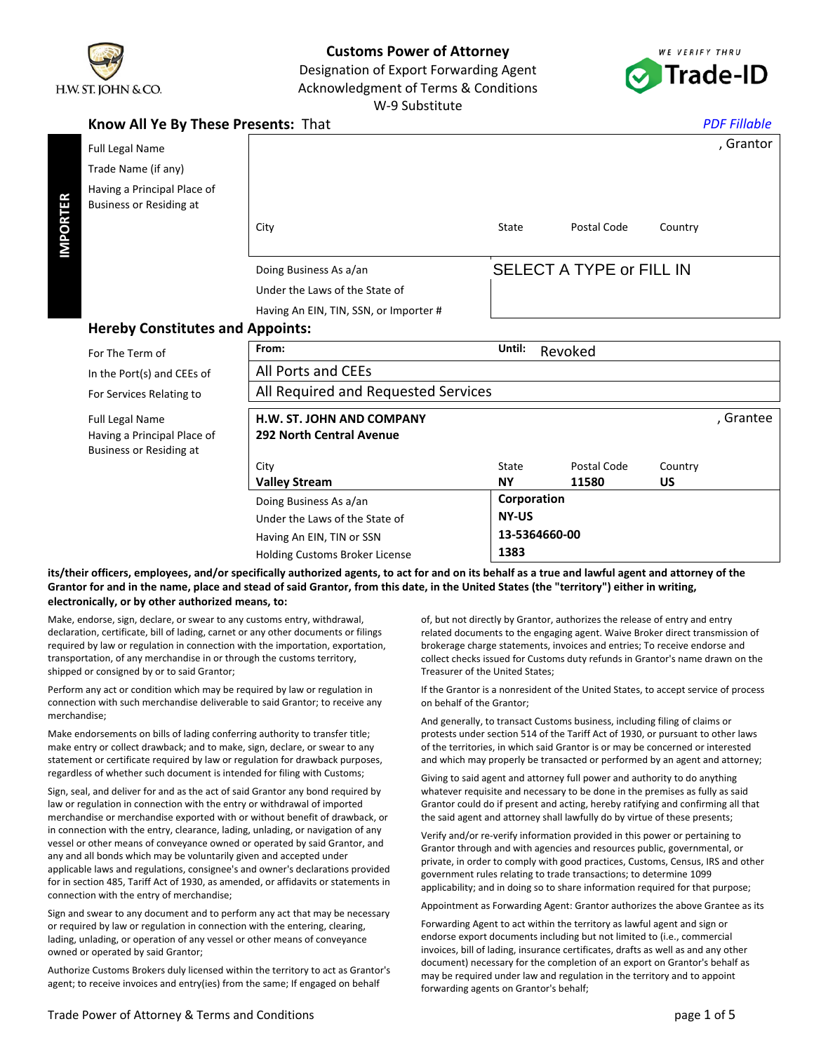

# **Customs Power of Attorney**

Designation of Export Forwarding Agent Acknowledgment of Terms & Conditions W‐9 Substitute



**IMPORTER** 

|                 | Know All Ye By These Presents: That                           |                                        |                                 |               |         |           |  |  |
|-----------------|---------------------------------------------------------------|----------------------------------------|---------------------------------|---------------|---------|-----------|--|--|
|                 | <b>Full Legal Name</b>                                        |                                        |                                 |               |         | , Grantor |  |  |
|                 | Trade Name (if any)                                           |                                        |                                 |               |         |           |  |  |
|                 | Having a Principal Place of<br><b>Business or Residing at</b> |                                        |                                 |               |         |           |  |  |
| <b>IMPORTER</b> |                                                               | City                                   | State                           | Postal Code   | Country |           |  |  |
|                 |                                                               | Doing Business As a/an                 | <b>SELECT A TYPE or FILL IN</b> |               |         |           |  |  |
|                 |                                                               | Under the Laws of the State of         |                                 |               |         |           |  |  |
|                 |                                                               | Having An EIN, TIN, SSN, or Importer # |                                 |               |         |           |  |  |
|                 | <b>Hereby Constitutes and Appoints:</b>                       |                                        |                                 |               |         |           |  |  |
|                 | For The Term of                                               | From:                                  | Until:                          | Revoked       |         |           |  |  |
|                 | In the Port(s) and CEEs of                                    |                                        |                                 |               |         |           |  |  |
|                 | For Services Relating to                                      | All Required and Requested Services    |                                 |               |         |           |  |  |
|                 | <b>Full Legal Name</b>                                        | <b>H.W. ST. JOHN AND COMPANY</b>       |                                 |               |         | , Grantee |  |  |
|                 | Having a Principal Place of<br><b>Business or Residing at</b> | <b>292 North Central Avenue</b>        |                                 |               |         |           |  |  |
|                 |                                                               | City                                   | State                           | Postal Code   | Country |           |  |  |
|                 |                                                               | <b>Valley Stream</b>                   | <b>NY</b>                       | 11580         | US      |           |  |  |
|                 |                                                               | Doing Business As a/an                 | Corporation                     |               |         |           |  |  |
|                 |                                                               | Under the Laws of the State of         | <b>NY-US</b>                    |               |         |           |  |  |
|                 |                                                               | Having An EIN, TIN or SSN              |                                 | 13-5364660-00 |         |           |  |  |
|                 |                                                               | Holding Customs Broker License         | 1383                            |               |         |           |  |  |

**its/their officers, employees, and/or specifically authorized agents, to act for and on its behalf as a true and lawful agent and attorney of the Grantor for and in the name, place and stead of said Grantor, from this date, in the United States (the "territory") either in writing, electronically, or by other authorized means, to:**

Make, endorse, sign, declare, or swear to any customs entry, withdrawal, declaration, certificate, bill of lading, carnet or any other documents or filings required by law or regulation in connection with the importation, exportation, transportation, of any merchandise in or through the customs territory, shipped or consigned by or to said Grantor;

Perform any act or condition which may be required by law or regulation in connection with such merchandise deliverable to said Grantor; to receive any merchandise;

Make endorsements on bills of lading conferring authority to transfer title; make entry or collect drawback; and to make, sign, declare, or swear to any statement or certificate required by law or regulation for drawback purposes, regardless of whether such document is intended for filing with Customs;

Sign, seal, and deliver for and as the act of said Grantor any bond required by law or regulation in connection with the entry or withdrawal of imported merchandise or merchandise exported with or without benefit of drawback, or in connection with the entry, clearance, lading, unlading, or navigation of any vessel or other means of conveyance owned or operated by said Grantor, and any and all bonds which may be voluntarily given and accepted under applicable laws and regulations, consignee's and owner's declarations provided for in section 485, Tariff Act of 1930, as amended, or affidavits or statements in connection with the entry of merchandise;

Sign and swear to any document and to perform any act that may be necessary or required by law or regulation in connection with the entering, clearing, lading, unlading, or operation of any vessel or other means of conveyance owned or operated by said Grantor;

Authorize Customs Brokers duly licensed within the territory to act as Grantor's agent; to receive invoices and entry(ies) from the same; If engaged on behalf

of, but not directly by Grantor, authorizes the release of entry and entry related documents to the engaging agent. Waive Broker direct transmission of brokerage charge statements, invoices and entries; To receive endorse and collect checks issued for Customs duty refunds in Grantor's name drawn on the Treasurer of the United States;

If the Grantor is a nonresident of the United States, to accept service of process on behalf of the Grantor;

And generally, to transact Customs business, including filing of claims or protests under section 514 of the Tariff Act of 1930, or pursuant to other laws of the territories, in which said Grantor is or may be concerned or interested and which may properly be transacted or performed by an agent and attorney;

Giving to said agent and attorney full power and authority to do anything whatever requisite and necessary to be done in the premises as fully as said Grantor could do if present and acting, hereby ratifying and confirming all that the said agent and attorney shall lawfully do by virtue of these presents;

Verify and/or re‐verify information provided in this power or pertaining to Grantor through and with agencies and resources public, governmental, or private, in order to comply with good practices, Customs, Census, IRS and other government rules relating to trade transactions; to determine 1099 applicability; and in doing so to share information required for that purpose;

Appointment as Forwarding Agent: Grantor authorizes the above Grantee as its

Forwarding Agent to act within the territory as lawful agent and sign or endorse export documents including but not limited to (i.e., commercial invoices, bill of lading, insurance certificates, drafts as well as and any other document) necessary for the completion of an export on Grantor's behalf as may be required under law and regulation in the territory and to appoint forwarding agents on Grantor's behalf;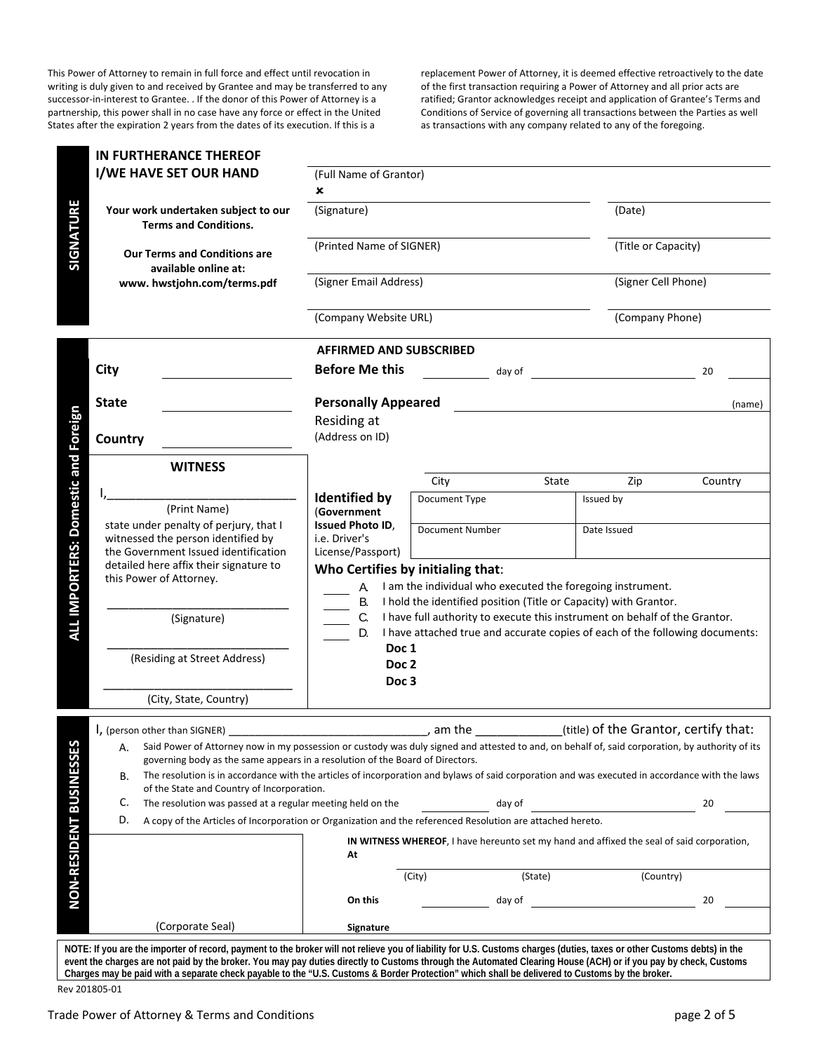This Power of Attorney to remain in full force and effect until revocation in writing is duly given to and received by Grantee and may be transferred to any successor-in-interest to Grantee. . If the donor of this Power of Attorney is a partnership, this power shall in no case have any force or effect in the United States after the expiration 2 years from the dates of its execution. If this is a

replacement Power of Attorney, it is deemed effective retroactively to the date of the first transaction requiring a Power of Attorney and all prior acts are ratified; Grantor acknowledges receipt and application of Grantee's Terms and Conditions of Service of governing all transactions between the Parties as well as transactions with any company related to any of the foregoing.

|                                                                                                                                                                                                                                                                                                                                                                                                                                                                                              |                                                                                                                                                                                                                                        | <b>IN FURTHERANCE THEREOF</b>                                                                              |                                                                                                                                                                                                                                                                                                                                                                                        |                 |                                     |                                                                                                                                                                                                                                |         |  |  |
|----------------------------------------------------------------------------------------------------------------------------------------------------------------------------------------------------------------------------------------------------------------------------------------------------------------------------------------------------------------------------------------------------------------------------------------------------------------------------------------------|----------------------------------------------------------------------------------------------------------------------------------------------------------------------------------------------------------------------------------------|------------------------------------------------------------------------------------------------------------|----------------------------------------------------------------------------------------------------------------------------------------------------------------------------------------------------------------------------------------------------------------------------------------------------------------------------------------------------------------------------------------|-----------------|-------------------------------------|--------------------------------------------------------------------------------------------------------------------------------------------------------------------------------------------------------------------------------|---------|--|--|
|                                                                                                                                                                                                                                                                                                                                                                                                                                                                                              | I/WE HAVE SET OUR HAND                                                                                                                                                                                                                 |                                                                                                            | (Full Name of Grantor)                                                                                                                                                                                                                                                                                                                                                                 |                 |                                     |                                                                                                                                                                                                                                |         |  |  |
|                                                                                                                                                                                                                                                                                                                                                                                                                                                                                              |                                                                                                                                                                                                                                        |                                                                                                            | ×                                                                                                                                                                                                                                                                                                                                                                                      |                 |                                     |                                                                                                                                                                                                                                |         |  |  |
| SIGNATURE                                                                                                                                                                                                                                                                                                                                                                                                                                                                                    | Your work undertaken subject to our<br><b>Terms and Conditions.</b>                                                                                                                                                                    |                                                                                                            | (Signature)                                                                                                                                                                                                                                                                                                                                                                            |                 |                                     | (Date)                                                                                                                                                                                                                         |         |  |  |
|                                                                                                                                                                                                                                                                                                                                                                                                                                                                                              | <b>Our Terms and Conditions are</b><br>available online at:                                                                                                                                                                            |                                                                                                            | (Printed Name of SIGNER)                                                                                                                                                                                                                                                                                                                                                               |                 |                                     | (Title or Capacity)                                                                                                                                                                                                            |         |  |  |
|                                                                                                                                                                                                                                                                                                                                                                                                                                                                                              | www.hwstjohn.com/terms.pdf                                                                                                                                                                                                             |                                                                                                            | (Signer Email Address)                                                                                                                                                                                                                                                                                                                                                                 |                 |                                     | (Signer Cell Phone)                                                                                                                                                                                                            |         |  |  |
|                                                                                                                                                                                                                                                                                                                                                                                                                                                                                              |                                                                                                                                                                                                                                        |                                                                                                            | (Company Website URL)                                                                                                                                                                                                                                                                                                                                                                  |                 |                                     | (Company Phone)                                                                                                                                                                                                                |         |  |  |
|                                                                                                                                                                                                                                                                                                                                                                                                                                                                                              |                                                                                                                                                                                                                                        |                                                                                                            | <b>AFFIRMED AND SUBSCRIBED</b>                                                                                                                                                                                                                                                                                                                                                         |                 |                                     |                                                                                                                                                                                                                                |         |  |  |
|                                                                                                                                                                                                                                                                                                                                                                                                                                                                                              | City                                                                                                                                                                                                                                   |                                                                                                            | <b>Before Me this</b>                                                                                                                                                                                                                                                                                                                                                                  |                 |                                     | day of the contract of the contract of the contract of the contract of the contract of the contract of the contract of the contract of the contract of the contract of the contract of the contract of the contract of the con | 20      |  |  |
|                                                                                                                                                                                                                                                                                                                                                                                                                                                                                              | <b>State</b>                                                                                                                                                                                                                           |                                                                                                            | <b>Personally Appeared</b>                                                                                                                                                                                                                                                                                                                                                             |                 |                                     | (name)                                                                                                                                                                                                                         |         |  |  |
|                                                                                                                                                                                                                                                                                                                                                                                                                                                                                              | Country                                                                                                                                                                                                                                |                                                                                                            | Residing at<br>(Address on ID)                                                                                                                                                                                                                                                                                                                                                         |                 |                                     |                                                                                                                                                                                                                                |         |  |  |
|                                                                                                                                                                                                                                                                                                                                                                                                                                                                                              |                                                                                                                                                                                                                                        | <b>WITNESS</b>                                                                                             |                                                                                                                                                                                                                                                                                                                                                                                        |                 |                                     |                                                                                                                                                                                                                                |         |  |  |
|                                                                                                                                                                                                                                                                                                                                                                                                                                                                                              |                                                                                                                                                                                                                                        |                                                                                                            |                                                                                                                                                                                                                                                                                                                                                                                        | City            | State                               | Zip                                                                                                                                                                                                                            | Country |  |  |
|                                                                                                                                                                                                                                                                                                                                                                                                                                                                                              | (Print Name)                                                                                                                                                                                                                           |                                                                                                            | <b>Identified by</b><br>(Government<br><b>Issued Photo ID.</b><br>i.e. Driver's<br>License/Passport)                                                                                                                                                                                                                                                                                   | Document Type   |                                     | Issued by                                                                                                                                                                                                                      |         |  |  |
|                                                                                                                                                                                                                                                                                                                                                                                                                                                                                              | state under penalty of perjury, that I<br>witnessed the person identified by<br>the Government Issued identification                                                                                                                   |                                                                                                            |                                                                                                                                                                                                                                                                                                                                                                                        | Document Number |                                     | Date Issued                                                                                                                                                                                                                    |         |  |  |
| <b>ALL IMPORTERS: Domestic and Foreign</b>                                                                                                                                                                                                                                                                                                                                                                                                                                                   | detailed here affix their signature to<br>this Power of Attorney.<br>(Signature)<br>(Residing at Street Address)                                                                                                                       |                                                                                                            | Who Certifies by initialing that:<br>I am the individual who executed the foregoing instrument.<br>А.<br>I hold the identified position (Title or Capacity) with Grantor.<br>В.<br>C.<br>I have full authority to execute this instrument on behalf of the Grantor.<br>I have attached true and accurate copies of each of the following documents:<br>D.<br>Doc 1<br>Doc <sub>2</sub> |                 |                                     |                                                                                                                                                                                                                                |         |  |  |
|                                                                                                                                                                                                                                                                                                                                                                                                                                                                                              | (City, State, Country)                                                                                                                                                                                                                 |                                                                                                            | Doc 3                                                                                                                                                                                                                                                                                                                                                                                  |                 |                                     |                                                                                                                                                                                                                                |         |  |  |
|                                                                                                                                                                                                                                                                                                                                                                                                                                                                                              |                                                                                                                                                                                                                                        |                                                                                                            |                                                                                                                                                                                                                                                                                                                                                                                        |                 |                                     |                                                                                                                                                                                                                                |         |  |  |
|                                                                                                                                                                                                                                                                                                                                                                                                                                                                                              |                                                                                                                                                                                                                                        |                                                                                                            |                                                                                                                                                                                                                                                                                                                                                                                        |                 | $\lambda$ am the state of $\lambda$ | (title) of the Grantor, certify that:                                                                                                                                                                                          |         |  |  |
|                                                                                                                                                                                                                                                                                                                                                                                                                                                                                              | Said Power of Attorney now in my possession or custody was duly signed and attested to and, on behalf of, said corporation, by authority of its<br>А.<br>governing body as the same appears in a resolution of the Board of Directors. |                                                                                                            |                                                                                                                                                                                                                                                                                                                                                                                        |                 |                                     |                                                                                                                                                                                                                                |         |  |  |
|                                                                                                                                                                                                                                                                                                                                                                                                                                                                                              | The resolution is in accordance with the articles of incorporation and bylaws of said corporation and was executed in accordance with the laws<br>В.<br>of the State and Country of Incorporation.                                     |                                                                                                            |                                                                                                                                                                                                                                                                                                                                                                                        |                 |                                     |                                                                                                                                                                                                                                |         |  |  |
|                                                                                                                                                                                                                                                                                                                                                                                                                                                                                              | C.<br>The resolution was passed at a regular meeting held on the                                                                                                                                                                       |                                                                                                            |                                                                                                                                                                                                                                                                                                                                                                                        |                 | day of                              |                                                                                                                                                                                                                                | 20      |  |  |
|                                                                                                                                                                                                                                                                                                                                                                                                                                                                                              | D.                                                                                                                                                                                                                                     | A copy of the Articles of Incorporation or Organization and the referenced Resolution are attached hereto. |                                                                                                                                                                                                                                                                                                                                                                                        |                 |                                     |                                                                                                                                                                                                                                |         |  |  |
| <b>NON-RESIDENT BUSINESSES</b>                                                                                                                                                                                                                                                                                                                                                                                                                                                               | IN WITNESS WHEREOF, I have hereunto set my hand and affixed the seal of said corporation,<br>Αt                                                                                                                                        |                                                                                                            |                                                                                                                                                                                                                                                                                                                                                                                        |                 |                                     |                                                                                                                                                                                                                                |         |  |  |
|                                                                                                                                                                                                                                                                                                                                                                                                                                                                                              |                                                                                                                                                                                                                                        |                                                                                                            |                                                                                                                                                                                                                                                                                                                                                                                        | (City)          | (State)                             | (Country)                                                                                                                                                                                                                      |         |  |  |
|                                                                                                                                                                                                                                                                                                                                                                                                                                                                                              |                                                                                                                                                                                                                                        |                                                                                                            | On this                                                                                                                                                                                                                                                                                                                                                                                |                 | day of                              |                                                                                                                                                                                                                                | 20      |  |  |
|                                                                                                                                                                                                                                                                                                                                                                                                                                                                                              |                                                                                                                                                                                                                                        | (Corporate Seal)                                                                                           | Signature                                                                                                                                                                                                                                                                                                                                                                              |                 |                                     |                                                                                                                                                                                                                                |         |  |  |
| NOTE: If you are the importer of record, payment to the broker will not relieve you of liability for U.S. Customs charges (duties, taxes or other Customs debts) in the<br>event the charges are not paid by the broker. You may pay duties directly to Customs through the Automated Clearing House (ACH) or if you pay by check, Customs<br>Charges may be paid with a separate check payable to the "U.S. Customs & Border Protection" which shall be delivered to Customs by the broker. |                                                                                                                                                                                                                                        |                                                                                                            |                                                                                                                                                                                                                                                                                                                                                                                        |                 |                                     |                                                                                                                                                                                                                                |         |  |  |

Rev 201805‐01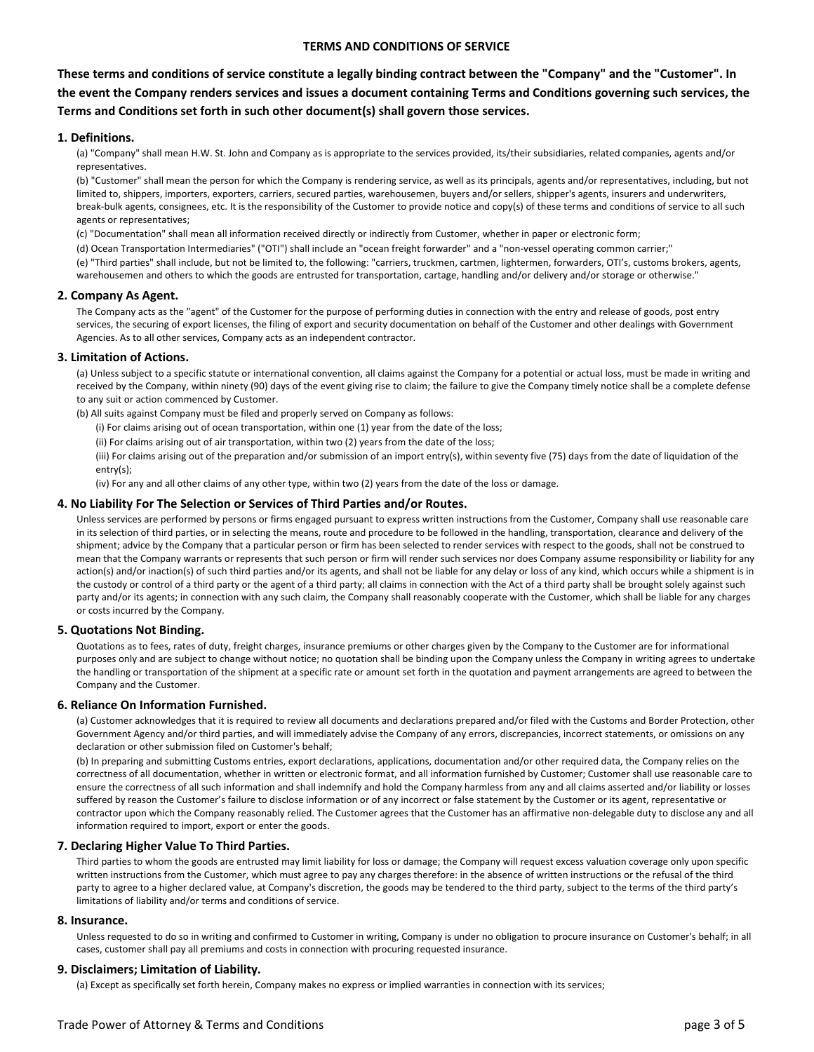## **TERMS AND CONDITIONS OF SERVICE**

**These terms and conditions of service constitute a legally binding contract between the "Company" and the "Customer". In the event the Company renders services and issues a document containing Terms and Conditions governing such services, the Terms and Conditions set forth in such other document(s) shall govern those services.** 

## **1. Definitions.**

(a) "Company" shall mean H.W. St. John and Company as is appropriate to the services provided, its/their subsidiaries, related companies, agents and/or representatives.

(b) "Customer" shall mean the person for which the Company is rendering service, as well as its principals, agents and/or representatives, including, but not limited to, shippers, importers, exporters, carriers, secured parties, warehousemen, buyers and/or sellers, shipper's agents, insurers and underwriters, break-bulk agents, consignees, etc. It is the responsibility of the Customer to provide notice and copy(s) of these terms and conditions of service to all such agents or representatives;

(c) "Documentation" shall mean all information received directly or indirectly from Customer, whether in paper or electronic form;

(d) Ocean Transportation Intermediaries" ("OTI") shall include an "ocean freight forwarder" and a "non‐vessel operating common carrier;"

(e) "Third parties" shall include, but not be limited to, the following: "carriers, truckmen, cartmen, lightermen, forwarders, OTI's, customs brokers, agents, warehousemen and others to which the goods are entrusted for transportation, cartage, handling and/or delivery and/or storage or otherwise."

## **2. Company As Agent.**

The Company acts as the "agent" of the Customer for the purpose of performing duties in connection with the entry and release of goods, post entry services, the securing of export licenses, the filing of export and security documentation on behalf of the Customer and other dealings with Government Agencies. As to all other services, Company acts as an independent contractor.

## **3. Limitation of Actions.**

(a) Unless subject to a specific statute or international convention, all claims against the Company for a potential or actual loss, must be made in writing and received by the Company, within ninety (90) days of the event giving rise to claim; the failure to give the Company timely notice shall be a complete defense to any suit or action commenced by Customer.

(b) All suits against Company must be filed and properly served on Company as follows:

(i) For claims arising out of ocean transportation, within one (1) year from the date of the loss;

(ii) For claims arising out of air transportation, within two (2) years from the date of the loss;

(iii) For claims arising out of the preparation and/or submission of an import entry(s), within seventy five (75) days from the date of liquidation of the entry(s);

(iv) For any and all other claims of any other type, within two (2) years from the date of the loss or damage.

## **4. No Liability For The Selection or Services of Third Parties and/or Routes.**

Unless services are performed by persons or firms engaged pursuant to express written instructions from the Customer, Company shall use reasonable care in its selection of third parties, or in selecting the means, route and procedure to be followed in the handling, transportation, clearance and delivery of the shipment; advice by the Company that a particular person or firm has been selected to render services with respect to the goods, shall not be construed to mean that the Company warrants or represents that such person or firm will render such services nor does Company assume responsibility or liability for any action(s) and/or inaction(s) of such third parties and/or its agents, and shall not be liable for any delay or loss of any kind, which occurs while a shipment is in the custody or control of a third party or the agent of a third party; all claims in connection with the Act of a third party shall be brought solely against such party and/or its agents; in connection with any such claim, the Company shall reasonably cooperate with the Customer, which shall be liable for any charges or costs incurred by the Company.

## **5. Quotations Not Binding.**

Quotations as to fees, rates of duty, freight charges, insurance premiums or other charges given by the Company to the Customer are for informational purposes only and are subject to change without notice; no quotation shall be binding upon the Company unless the Company in writing agrees to undertake the handling or transportation of the shipment at a specific rate or amount set forth in the quotation and payment arrangements are agreed to between the Company and the Customer.

## **6. Reliance On Information Furnished.**

(a) Customer acknowledges that it is required to review all documents and declarations prepared and/or filed with the Customs and Border Protection, other Government Agency and/or third parties, and will immediately advise the Company of any errors, discrepancies, incorrect statements, or omissions on any declaration or other submission filed on Customer's behalf;

(b) In preparing and submitting Customs entries, export declarations, applications, documentation and/or other required data, the Company relies on the correctness of all documentation, whether in written or electronic format, and all information furnished by Customer; Customer shall use reasonable care to ensure the correctness of all such information and shall indemnify and hold the Company harmless from any and all claims asserted and/or liability or losses suffered by reason the Customer's failure to disclose information or of any incorrect or false statement by the Customer or its agent, representative or contractor upon which the Company reasonably relied. The Customer agrees that the Customer has an affirmative non-delegable duty to disclose any and all information required to import, export or enter the goods.

## **7. Declaring Higher Value To Third Parties.**

Third parties to whom the goods are entrusted may limit liability for loss or damage; the Company will request excess valuation coverage only upon specific written instructions from the Customer, which must agree to pay any charges therefore: in the absence of written instructions or the refusal of the third party to agree to a higher declared value, at Company's discretion, the goods may be tendered to the third party, subject to the terms of the third party's limitations of liability and/or terms and conditions of service.

## **8. Insurance.**

Unless requested to do so in writing and confirmed to Customer in writing, Company is under no obligation to procure insurance on Customer's behalf; in all cases, customer shall pay all premiums and costs in connection with procuring requested insurance.

## **9. Disclaimers; Limitation of Liability.**

(a) Except as specifically set forth herein, Company makes no express or implied warranties in connection with its services;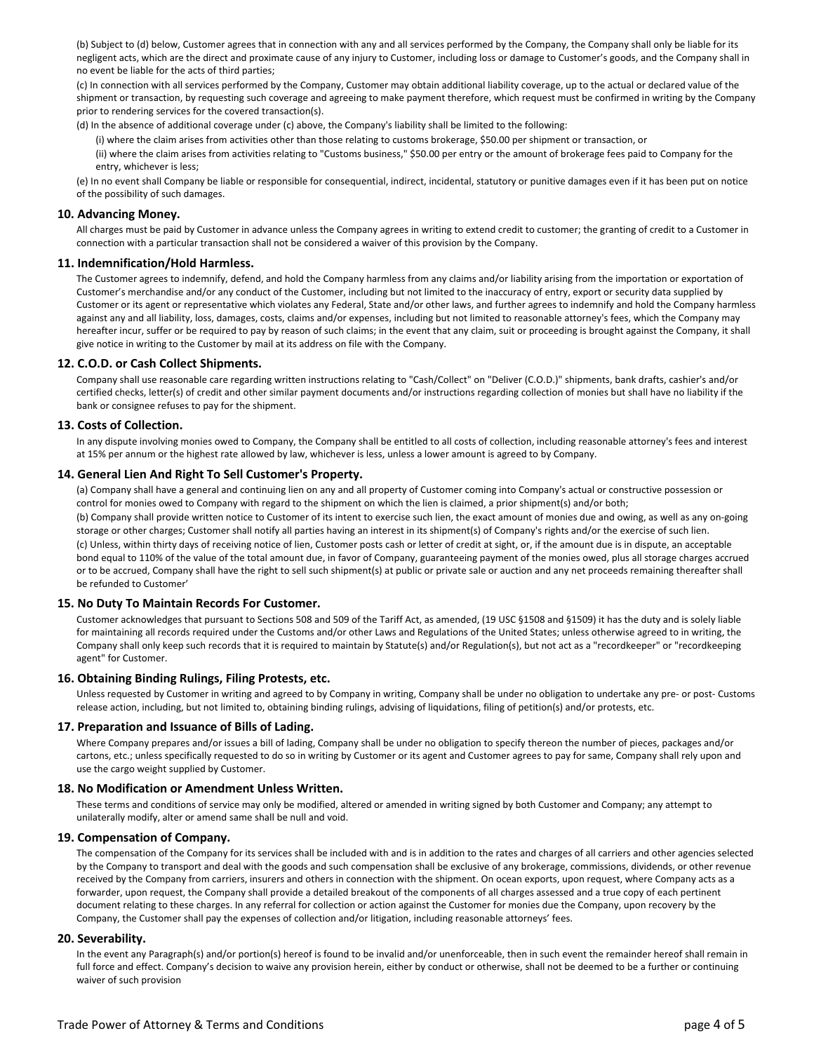(b) Subject to (d) below, Customer agrees that in connection with any and all services performed by the Company, the Company shall only be liable for its negligent acts, which are the direct and proximate cause of any injury to Customer, including loss or damage to Customer's goods, and the Company shall in no event be liable for the acts of third parties;

(c) In connection with all services performed by the Company, Customer may obtain additional liability coverage, up to the actual or declared value of the shipment or transaction, by requesting such coverage and agreeing to make payment therefore, which request must be confirmed in writing by the Company prior to rendering services for the covered transaction(s).

(d) In the absence of additional coverage under (c) above, the Company's liability shall be limited to the following:

(i) where the claim arises from activities other than those relating to customs brokerage, \$50.00 per shipment or transaction, or

(ii) where the claim arises from activities relating to "Customs business," \$50.00 per entry or the amount of brokerage fees paid to Company for the entry, whichever is less;

(e) In no event shall Company be liable or responsible for consequential, indirect, incidental, statutory or punitive damages even if it has been put on notice of the possibility of such damages.

#### 10. Advancing Money.

All charges must be paid by Customer in advance unless the Company agrees in writing to extend credit to customer; the granting of credit to a Customer in connection with a particular transaction shall not be considered a waiver of this provision by the Company.

#### **11. Indemnification/Hold Harmless.**

The Customer agrees to indemnify, defend, and hold the Company harmless from any claims and/or liability arising from the importation or exportation of Customer's merchandise and/or any conduct of the Customer, including but not limited to the inaccuracy of entry, export or security data supplied by Customer or its agent or representative which violates any Federal, State and/or other laws, and further agrees to indemnify and hold the Company harmless against any and all liability, loss, damages, costs, claims and/or expenses, including but not limited to reasonable attorney's fees, which the Company may hereafter incur, suffer or be required to pay by reason of such claims; in the event that any claim, suit or proceeding is brought against the Company, it shall give notice in writing to the Customer by mail at its address on file with the Company.

#### **12. C.O.D. or Cash Collect Shipments.**

Company shall use reasonable care regarding written instructions relating to "Cash/Collect" on "Deliver (C.O.D.)" shipments, bank drafts, cashier's and/or certified checks, letter(s) of credit and other similar payment documents and/or instructions regarding collection of monies but shall have no liability if the bank or consignee refuses to pay for the shipment.

#### **13. Costs of Collection.**

In any dispute involving monies owed to Company, the Company shall be entitled to all costs of collection, including reasonable attorney's fees and interest at 15% per annum or the highest rate allowed by law, whichever is less, unless a lower amount is agreed to by Company.

#### **14. General Lien And Right To Sell Customer's Property.**

(a) Company shall have a general and continuing lien on any and all property of Customer coming into Company's actual or constructive possession or control for monies owed to Company with regard to the shipment on which the lien is claimed, a prior shipment(s) and/or both;

(b) Company shall provide written notice to Customer of its intent to exercise such lien, the exact amount of monies due and owing, as well as any on‐going storage or other charges; Customer shall notify all parties having an interest in its shipment(s) of Company's rights and/or the exercise of such lien. (c) Unless, within thirty days of receiving notice of lien, Customer posts cash or letter of credit at sight, or, if the amount due is in dispute, an acceptable bond equal to 110% of the value of the total amount due, in favor of Company, guaranteeing payment of the monies owed, plus all storage charges accrued or to be accrued, Company shall have the right to sell such shipment(s) at public or private sale or auction and any net proceeds remaining thereafter shall be refunded to Customer'

## **15. No Duty To Maintain Records For Customer.**

Customer acknowledges that pursuant to Sections 508 and 509 of the Tariff Act, as amended, (19 USC §1508 and §1509) it has the duty and is solely liable for maintaining all records required under the Customs and/or other Laws and Regulations of the United States; unless otherwise agreed to in writing, the Company shall only keep such records that it is required to maintain by Statute(s) and/or Regulation(s), but not act as a "recordkeeper" or "recordkeeping agent" for Customer.

#### **16. Obtaining Binding Rulings, Filing Protests, etc.**

Unless requested by Customer in writing and agreed to by Company in writing, Company shall be under no obligation to undertake any pre‐ or post‐ Customs release action, including, but not limited to, obtaining binding rulings, advising of liquidations, filing of petition(s) and/or protests, etc.

## **17. Preparation and Issuance of Bills of Lading.**

Where Company prepares and/or issues a bill of lading, Company shall be under no obligation to specify thereon the number of pieces, packages and/or cartons, etc.; unless specifically requested to do so in writing by Customer or its agent and Customer agrees to pay for same, Company shall rely upon and use the cargo weight supplied by Customer.

### **18. No Modification or Amendment Unless Written.**

These terms and conditions of service may only be modified, altered or amended in writing signed by both Customer and Company; any attempt to unilaterally modify, alter or amend same shall be null and void.

#### **19. Compensation of Company.**

The compensation of the Company for its services shall be included with and is in addition to the rates and charges of all carriers and other agencies selected by the Company to transport and deal with the goods and such compensation shall be exclusive of any brokerage, commissions, dividends, or other revenue received by the Company from carriers, insurers and others in connection with the shipment. On ocean exports, upon request, where Company acts as a forwarder, upon request, the Company shall provide a detailed breakout of the components of all charges assessed and a true copy of each pertinent document relating to these charges. In any referral for collection or action against the Customer for monies due the Company, upon recovery by the Company, the Customer shall pay the expenses of collection and/or litigation, including reasonable attorneys' fees.

#### **20. Severability.**

In the event any Paragraph(s) and/or portion(s) hereof is found to be invalid and/or unenforceable, then in such event the remainder hereof shall remain in full force and effect. Company's decision to waive any provision herein, either by conduct or otherwise, shall not be deemed to be a further or continuing waiver of such provision